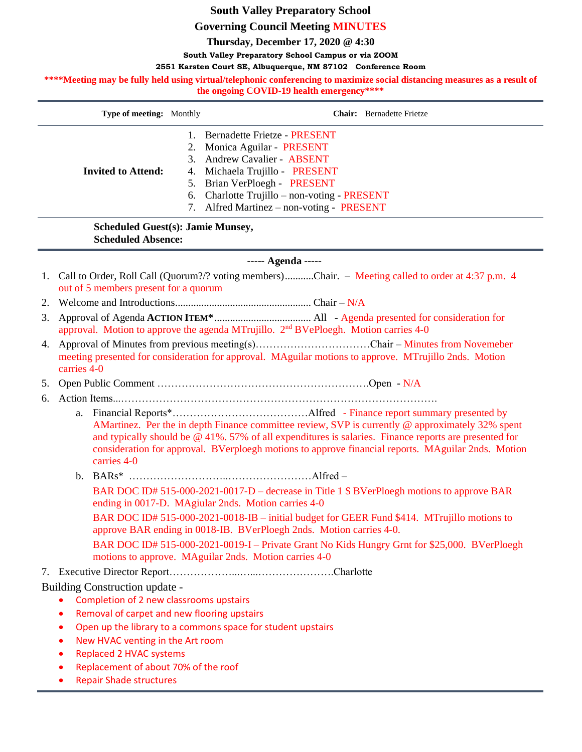# **South Valley Preparatory School**

#### **Governing Council Meeting MINUTES**

**Thursday, December 17, 2020 @ 4:30**

**South Valley Preparatory School Campus or via ZOOM**

#### **2551 Karsten Court SE, Albuquerque, NM 87102 Conference Room**

\*\*\*\*Meeting may be fully held using virtual/telephonic conferencing to maximize social distancing measures as a result of **the ongoing COVID-19 health emergency\*\*\*\***

| <b>Type of meeting:</b> Monthly |              | <b>Chair:</b> Bernadette Frietze                                                                                                                                                                                                                          |
|---------------------------------|--------------|-----------------------------------------------------------------------------------------------------------------------------------------------------------------------------------------------------------------------------------------------------------|
| <b>Invited to Attend:</b>       | $\mathbf{1}$ | Bernadette Frietze - PRESENT<br>2. Monica Aguilar - PRESENT<br>3. Andrew Cavalier - ABSENT<br>4. Michaela Trujillo - PRESENT<br>5. Brian VerPloegh - PRESENT<br>6. Charlotte Trujillo – non-voting - PRESENT<br>7. Alfred Martinez – non-voting - PRESENT |

#### **Scheduled Guest(s): Jamie Munsey, Scheduled Absence:**

## **----- Agenda -----**

- 1. Call to Order, Roll Call (Quorum?/? voting members)...........Chair. Meeting called to order at 4:37 p.m. 4 out of 5 members present for a quorum
- 2. Welcome and Introductions.................................................... Chair N/A
- 3. Approval of Agenda **ACTION ITEM\***..................................... All Agenda presented for consideration for approval. Motion to approve the agenda MTrujillo. 2<sup>nd</sup> BVePloegh. Motion carries 4-0
- 4. Approval of Minutes from previous meeting(s)……………………………Chair Minutes from Novemeber meeting presented for consideration for approval. MAguilar motions to approve. MTrujillo 2nds. Motion carries 4-0

# 5. Open Public Comment …………………………………………………….Open - N/A

6. Action Items...……………………………………………………………………………….

- a. Financial Reports\*…………………………………Alfred Finance report summary presented by AMartinez. Per the in depth Finance committee review, SVP is currently @ approximately 32% spent and typically should be @ 41%. 57% of all expenditures is salaries. Finance reports are presented for consideration for approval. BVerploegh motions to approve financial reports. MAguilar 2nds. Motion carries 4-0
- b. BARs\* ………………………..……………………Alfred BAR DOC ID# 515-000-2021-0017-D – decrease in Title 1 \$ BVerPloegh motions to approve BAR ending in 0017-D. MAgiular 2nds. Motion carries 4-0 BAR DOC ID# 515-000-2021-0018-IB – initial budget for GEER Fund \$414. MTrujillo motions to approve BAR ending in 0018-IB. BVerPloegh 2nds. Motion carries 4-0. BAR DOC ID# 515-000-2021-0019-I – Private Grant No Kids Hungry Grnt for \$25,000. BVerPloegh motions to approve. MAguilar 2nds. Motion carries 4-0

7. Executive Director Report………………...…...………………….Charlotte

Building Construction update -

- Completion of 2 new classrooms upstairs
- Removal of carpet and new flooring upstairs
- Open up the library to a commons space for student upstairs
- New HVAC venting in the Art room
- Replaced 2 HVAC systems
- Replacement of about 70% of the roof
- Repair Shade structures